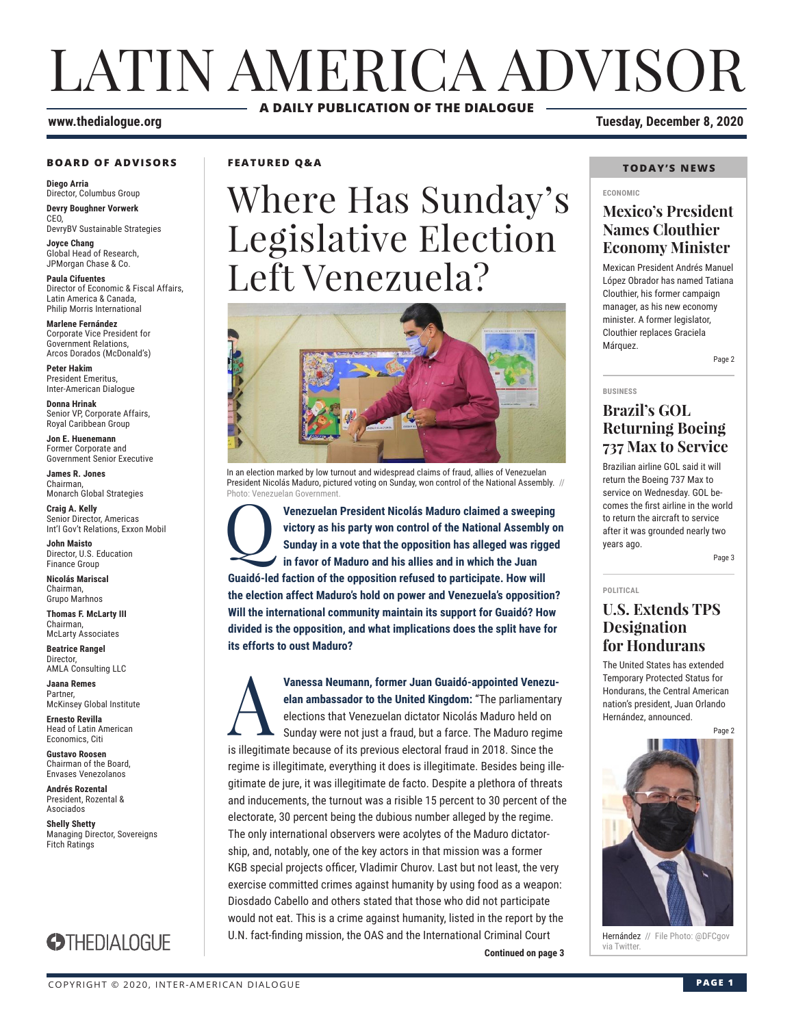# LATIN AMERICA ADVISOR **A DAILY PUBLICATION OF THE DIALOGUE**

#### **www.thedialogue.org Tuesday, December 8, 2020**

#### **BOARD OF ADVISORS**

**Diego Arria** Director, Columbus Group **Devry Boughner Vorwerk** C<sub>EO</sub>

DevryBV Sustainable Strategies

**Joyce Chang** Global Head of Research, JPMorgan Chase & Co.

**Paula Cifuentes** Director of Economic & Fiscal Affairs, Latin America & Canada, Philip Morris International

**Marlene Fernández** Corporate Vice President for Government Relations, Arcos Dorados (McDonald's)

**Peter Hakim** President Emeritus, Inter-American Dialogue

**Donna Hrinak** Senior VP, Corporate Affairs, Royal Caribbean Group

**Jon E. Huenemann** Former Corporate and Government Senior Executive

**James R. Jones** Chairman, Monarch Global Strategies

**Craig A. Kelly** Senior Director, Americas Int'l Gov't Relations, Exxon Mobil

**John Maisto** Director, U.S. Education Finance Group

**Nicolás Mariscal** Chairman, Grupo Marhnos

**Thomas F. McLarty III** Chairman, McLarty Associates

**Beatrice Rangel Director** AMLA Consulting LLC

**Jaana Remes** Partner, McKinsey Global Institute

**Ernesto Revilla**  Head of Latin American Economics, Citi

**Gustavo Roosen** Chairman of the Board, Envases Venezolanos

**Andrés Rozental**  President, Rozental & Asociados

**Shelly Shetty** Managing Director, Sovereigns Fitch Ratings



**FEATURED Q&A**

# Where Has Sunday's Legislative Election Left Venezuela?



In an election marked by low turnout and widespread claims of fraud, allies of Venezuelan President Nicolás Maduro, pictured voting on Sunday, won control of the National Assembly. // Photo: Venezuelan Government.

**Venezuelan President Nicolás Maduro claimed a sweeping victory as his party won control of the National Assembly o Sunday in a vote that the opposition has alleged was rigged in favor of Maduro and his allies and in which victory as his party won control of the National Assembly on Sunday in a vote that the opposition has alleged was rigged in favor of Maduro and his allies and in which the Juan Guaidó-led faction of the opposition refused to participate. How will the election affect Maduro's hold on power and Venezuela's opposition? Will the international community maintain its support for Guaidó? How divided is the opposition, and what implications does the split have for its efforts to oust Maduro?**

**Continued on page 3** Via Twitter. Vanessa Neumann, former Juan Guaidó-appointed Venezu-<br>
elan ambassador to the United Kingdom: "The parliamentary<br>
elections that Venezuelan dictator Nicolás Maduro held on<br>
Sunday were not just a fraud, but a farce. The Ma **elan ambassador to the United Kingdom:** "The parliamentary elections that Venezuelan dictator Nicolás Maduro held on Sunday were not just a fraud, but a farce. The Maduro regime is illegitimate because of its previous electoral fraud in 2018. Since the regime is illegitimate, everything it does is illegitimate. Besides being illegitimate de jure, it was illegitimate de facto. Despite a plethora of threats and inducements, the turnout was a risible 15 percent to 30 percent of the electorate, 30 percent being the dubious number alleged by the regime. The only international observers were acolytes of the Maduro dictatorship, and, notably, one of the key actors in that mission was a former KGB special projects officer, Vladimir Churov. Last but not least, the very exercise committed crimes against humanity by using food as a weapon: Diosdado Cabello and others stated that those who did not participate would not eat. This is a crime against humanity, listed in the report by the U.N. fact-finding mission, the OAS and the International Criminal Court

#### **TODAY'S NEWS**

#### **ECONOMIC**

### **Mexico's President Names Clouthier Economy Minister**

Mexican President Andrés Manuel López Obrador has named Tatiana Clouthier, his former campaign manager, as his new economy minister. A former legislator, Clouthier replaces Graciela Márquez.

Page 2

#### **BUSINESS**

**POLITICAL**

### **Brazil's GOL Returning Boeing 737 Max to Service**

Brazilian airline GOL said it will return the Boeing 737 Max to service on Wednesday. GOL becomes the first airline in the world to return the aircraft to service after it was grounded nearly two years ago.

Page 3

## **U.S. Extends TPS Designation for Hondurans**

The United States has extended Temporary Protected Status for Hondurans, the Central American nation's president, Juan Orlando Hernández, announced.

Page 2



Hernández // File Photo: @DFCgov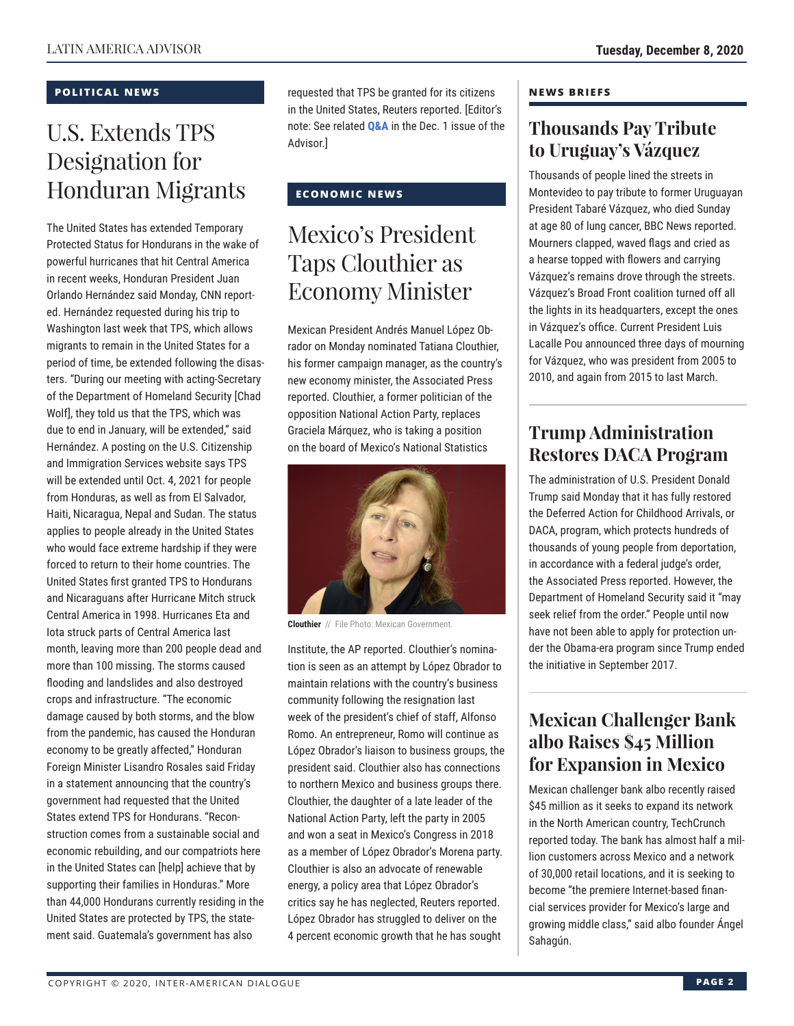#### **POLITICAL NEWS**

# U.S. Extends TPS Designation for Honduran Migrants

The United States has extended Temporary Protected Status for Hondurans in the wake of powerful hurricanes that hit Central America in recent weeks, Honduran President Juan Orlando Hernández said Monday, CNN reported. Hernández requested during his trip to Washington last week that TPS, which allows migrants to remain in the United States for a period of time, be extended following the disasters. "During our meeting with acting-Secretary of the Department of Homeland Security [Chad Wolf], they told us that the TPS, which was due to end in January, will be extended," said Hernández. A posting on the U.S. Citizenship and Immigration Services website says TPS will be extended until Oct. 4, 2021 for people from Honduras, as well as from El Salvador, Haiti, Nicaragua, Nepal and Sudan. The status applies to people already in the United States who would face extreme hardship if they were forced to return to their home countries. The United States first granted TPS to Hondurans and Nicaraguans after Hurricane Mitch struck Central America in 1998. Hurricanes Eta and Iota struck parts of Central America last month, leaving more than 200 people dead and more than 100 missing. The storms caused flooding and landslides and also destroyed crops and infrastructure. "The economic damage caused by both storms, and the blow from the pandemic, has caused the Honduran economy to be greatly affected," Honduran Foreign Minister Lisandro Rosales said Friday in a statement announcing that the country's government had requested that the United States extend TPS for Hondurans. "Reconstruction comes from a sustainable social and economic rebuilding, and our compatriots here in the United States can [help] achieve that by supporting their families in Honduras." More than 44,000 Hondurans currently residing in the United States are protected by TPS, the statement said. Guatemala's government has also

requested that TPS be granted for its citizens in the United [States, Reu](http://www.thedialogue.org/wp-content/uploads/2020/12/LAA201201.pdf)ters reported. [Editor's note: See related **Q&A** in the Dec. 1 issue of the Advisor.]

### **ECONOMIC NEWS**

# Mexico's President Taps Clouthier as Economy Minister

Mexican President Andrés Manuel López Obrador on Monday nominated Tatiana Clouthier, his former campaign manager, as the country's new economy minister, the Associated Press reported. Clouthier, a former politician of the opposition National Action Party, replaces Graciela Márquez, who is taking a position on the board of Mexico's National Statistics



**Clouthier** // File Photo: Mexican Government.

Institute, the AP reported. Clouthier's nomination is seen as an attempt by López Obrador to maintain relations with the country's business community following the resignation last week of the president's chief of staff, Alfonso Romo. An entrepreneur, Romo will continue as López Obrador's liaison to business groups, the president said. Clouthier also has connections to northern Mexico and business groups there. Clouthier, the daughter of a late leader of the National Action Party, left the party in 2005 and won a seat in Mexico's Congress in 2018 as a member of López Obrador's Morena party. Clouthier is also an advocate of renewable energy, a policy area that López Obrador's critics say he has neglected, Reuters reported. López Obrador has struggled to deliver on the 4 percent economic growth that he has sought

#### **NEWS BRIEFS**

# **Thousands Pay Tribute to Uruguay's Vázquez**

Thousands of people lined the streets in Montevideo to pay tribute to former Uruguayan President Tabaré Vázquez, who died Sunday at age 80 of lung cancer, BBC News reported. Mourners clapped, waved flags and cried as a hearse topped with flowers and carrying Vázquez's remains drove through the streets. Vázquez's Broad Front coalition turned off all the lights in its headquarters, except the ones in Vázquez's office. Current President Luis Lacalle Pou announced three days of mourning for Vázquez, who was president from 2005 to 2010, and again from 2015 to last March.

# **Trump Administration Restores DACA Program**

The administration of U.S. President Donald Trump said Monday that it has fully restored the Deferred Action for Childhood Arrivals, or DACA, program, which protects hundreds of thousands of young people from deportation, in accordance with a federal judge's order, the Associated Press reported. However, the Department of Homeland Security said it "may seek relief from the order." People until now have not been able to apply for protection under the Obama-era program since Trump ended the initiative in September 2017.

# **Mexican Challenger Bank albo Raises \$45 Million for Expansion in Mexico**

Mexican challenger bank albo recently raised \$45 million as it seeks to expand its network in the North American country, TechCrunch reported today. The bank has almost half a million customers across Mexico and a network of 30,000 retail locations, and it is seeking to become "the premiere Internet-based financial services provider for Mexico's large and growing middle class," said albo founder Ángel Sahagún.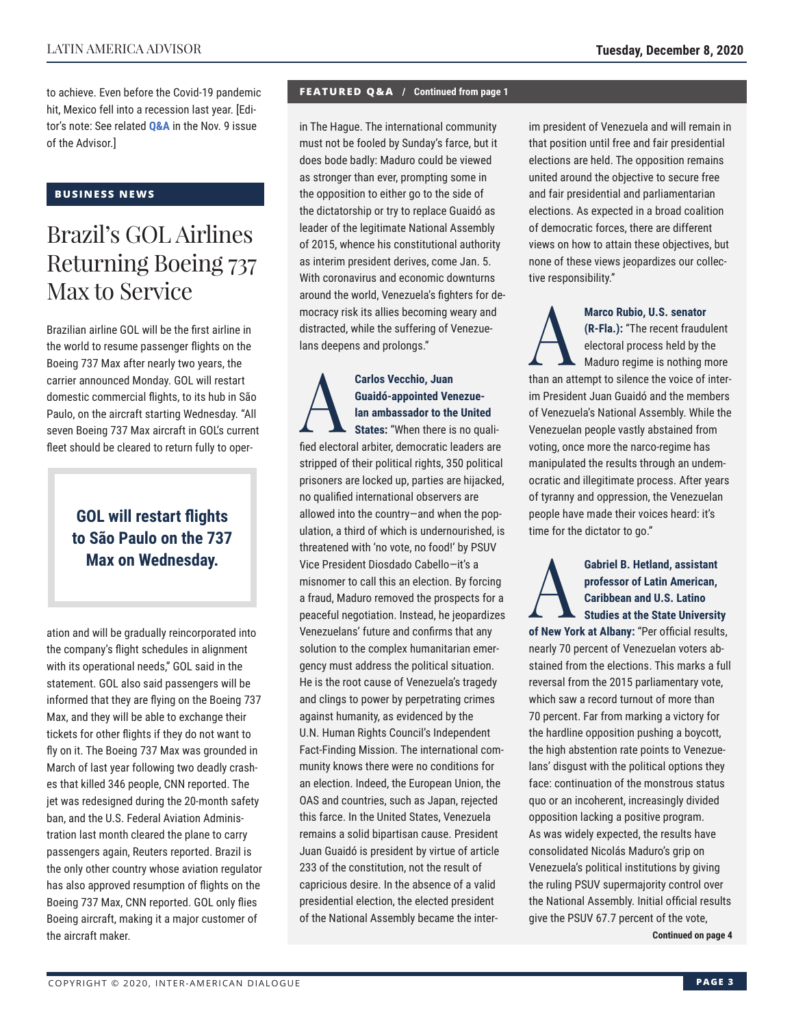to achieve. Even before the Covid-19 pandemic hit, Mexico fell into a recession last year. [Editor's note: See related **[Q&A](http://www.thedialogue.org/wp-content/uploads/2020/11/LAA201109.pdf)** in the Nov. 9 issue of the Advisor.]

#### **BUSINESS NEWS**

# Brazil's GOL Airlines Returning Boeing 737 Max to Service

Brazilian airline GOL will be the first airline in the world to resume passenger flights on the Boeing 737 Max after nearly two years, the carrier announced Monday. GOL will restart domestic commercial flights, to its hub in São Paulo, on the aircraft starting Wednesday. "All seven Boeing 737 Max aircraft in GOL's current fleet should be cleared to return fully to oper-

# **GOL will restart flights to São Paulo on the 737 Max on Wednesday.**

ation and will be gradually reincorporated into the company's flight schedules in alignment with its operational needs," GOL said in the statement. GOL also said passengers will be informed that they are flying on the Boeing 737 Max, and they will be able to exchange their tickets for other flights if they do not want to fly on it. The Boeing 737 Max was grounded in March of last year following two deadly crashes that killed 346 people, CNN reported. The jet was redesigned during the 20-month safety ban, and the U.S. Federal Aviation Administration last month cleared the plane to carry passengers again, Reuters reported. Brazil is the only other country whose aviation regulator has also approved resumption of flights on the Boeing 737 Max, CNN reported. GOL only flies Boeing aircraft, making it a major customer of the aircraft maker.

#### **FEATURED Q&A / Continued from page 1**

in The Hague. The international community must not be fooled by Sunday's farce, but it does bode badly: Maduro could be viewed as stronger than ever, prompting some in the opposition to either go to the side of the dictatorship or try to replace Guaidó as leader of the legitimate National Assembly of 2015, whence his constitutional authority as interim president derives, come Jan. 5. With coronavirus and economic downturns around the world, Venezuela's fighters for democracy risk its allies becoming weary and distracted, while the suffering of Venezuelans deepens and prolongs."

Carlos Vecchio, Juan<br>
Guaidó-appointed Ver<br>
Ian ambassador to the<br>
States: "When there is **Guaidó-appointed Venezuelan ambassador to the United States:** "When there is no qualified electoral arbiter, democratic leaders are stripped of their political rights, 350 political prisoners are locked up, parties are hijacked, no qualified international observers are allowed into the country—and when the population, a third of which is undernourished, is threatened with 'no vote, no food!' by PSUV Vice President Diosdado Cabello—it's a misnomer to call this an election. By forcing a fraud, Maduro removed the prospects for a peaceful negotiation. Instead, he jeopardizes Venezuelans' future and confirms that any solution to the complex humanitarian emergency must address the political situation. He is the root cause of Venezuela's tragedy and clings to power by perpetrating crimes against humanity, as evidenced by the U.N. Human Rights Council's Independent Fact-Finding Mission. The international community knows there were no conditions for an election. Indeed, the European Union, the OAS and countries, such as Japan, rejected this farce. In the United States, Venezuela remains a solid bipartisan cause. President Juan Guaidó is president by virtue of article 233 of the constitution, not the result of capricious desire. In the absence of a valid presidential election, the elected president of the National Assembly became the interim president of Venezuela and will remain in that position until free and fair presidential elections are held. The opposition remains united around the objective to secure free and fair presidential and parliamentarian elections. As expected in a broad coalition of democratic forces, there are different views on how to attain these objectives, but none of these views jeopardizes our collective responsibility."

Marco Rubio, U.S. senator<br>
(R-Fla.): "The recent fraudu<br>
electoral process held by the<br>
Maduro regime is nothing n<br>
then an attempt to silence the voice of **(R-Fla.):** "The recent fraudulent electoral process held by the Maduro regime is nothing more than an attempt to silence the voice of interim President Juan Guaidó and the members of Venezuela's National Assembly. While the Venezuelan people vastly abstained from voting, once more the narco-regime has manipulated the results through an undemocratic and illegitimate process. After years of tyranny and oppression, the Venezuelan people have made their voices heard: it's time for the dictator to go."

### Gabriel B. Hetland, assistant<br>professor of Latin American,<br>Caribbean and U.S. Latino<br>Studies at the State Universite<br>of Now York at Albany: "Por official roul" **professor of Latin American, Caribbean and U.S. Latino Studies at the State University**

**of New York at Albany:** "Per official results, nearly 70 percent of Venezuelan voters abstained from the elections. This marks a full reversal from the 2015 parliamentary vote, which saw a record turnout of more than 70 percent. Far from marking a victory for the hardline opposition pushing a boycott, the high abstention rate points to Venezuelans' disgust with the political options they face: continuation of the monstrous status quo or an incoherent, increasingly divided opposition lacking a positive program. As was widely expected, the results have consolidated Nicolás Maduro's grip on Venezuela's political institutions by giving the ruling PSUV supermajority control over the National Assembly. Initial official results give the PSUV 67.7 percent of the vote,

**Continued on page 4**